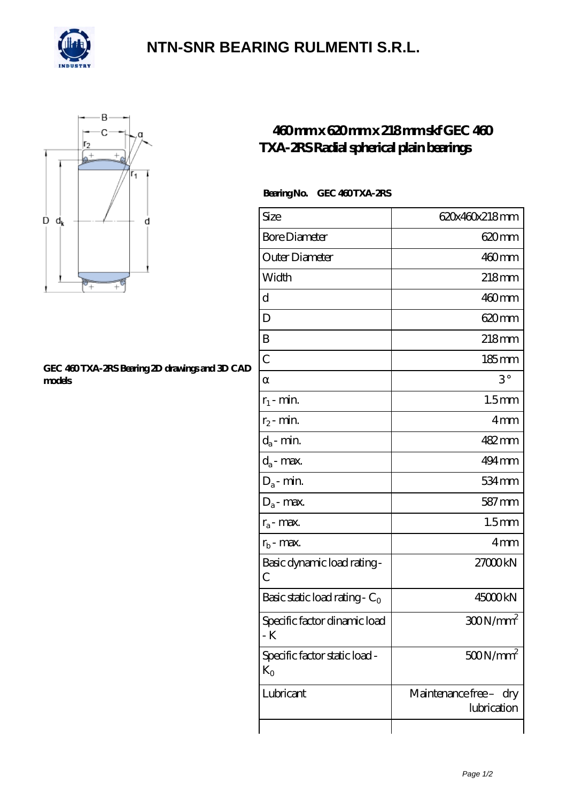

## **[NTN-SNR BEARING RULMENTI S.R.L.](https://m.confidencemenimprov.com)**



#### **[GEC 460 TXA-2RS Bearing 2D drawings and 3D CAD](https://m.confidencemenimprov.com/pic-64975173.html) [models](https://m.confidencemenimprov.com/pic-64975173.html)**

### **[460 mm x 620 mm x 218 mm skf GEC 460](https://m.confidencemenimprov.com/ar-64975173-skf-gec-460-txa-2rs-radial-spherical-plain-bearings.html) [TXA-2RS Radial spherical plain bearings](https://m.confidencemenimprov.com/ar-64975173-skf-gec-460-txa-2rs-radial-spherical-plain-bearings.html)**

### Bearing No. GEC 460 TXA-2RS

| Size                                   | 620x460x218mm                         |
|----------------------------------------|---------------------------------------|
| <b>Bore Diameter</b>                   | 620mm                                 |
| Outer Diameter                         | $460$ mm                              |
| Width                                  | 218mm                                 |
| d                                      | $460$ mm                              |
| D                                      | 620mm                                 |
| B                                      | $218$ mm                              |
| $\overline{C}$                         | $185$ mm                              |
|                                        | $3^{\circ}$                           |
| $r_1$ - min.                           | 1.5 <sub>mm</sub>                     |
| $r_2$ - min.                           | 4mm                                   |
| $d_a$ - min.                           | 482mm                                 |
| $d_a$ - max.                           | 494 mm                                |
| $D_a$ - min.                           | 534 mm                                |
| $D_a$ - max.                           | $587$ mm                              |
| $r_a$ - max.                           | 1.5 <sub>mm</sub>                     |
| $r_{b}$ - max.                         | 4mm                                   |
| Basic dynamic load rating-<br>С        | 27000kN                               |
| Basic static load rating - $C_0$       | 45000kN                               |
| Specific factor dinamic load<br>- K    | $300N/mm^2$                           |
| Specific factor static load -<br>$K_0$ | $500N/mm^2$                           |
| Lubricant                              | Maintenance free - dry<br>lubrication |
|                                        |                                       |